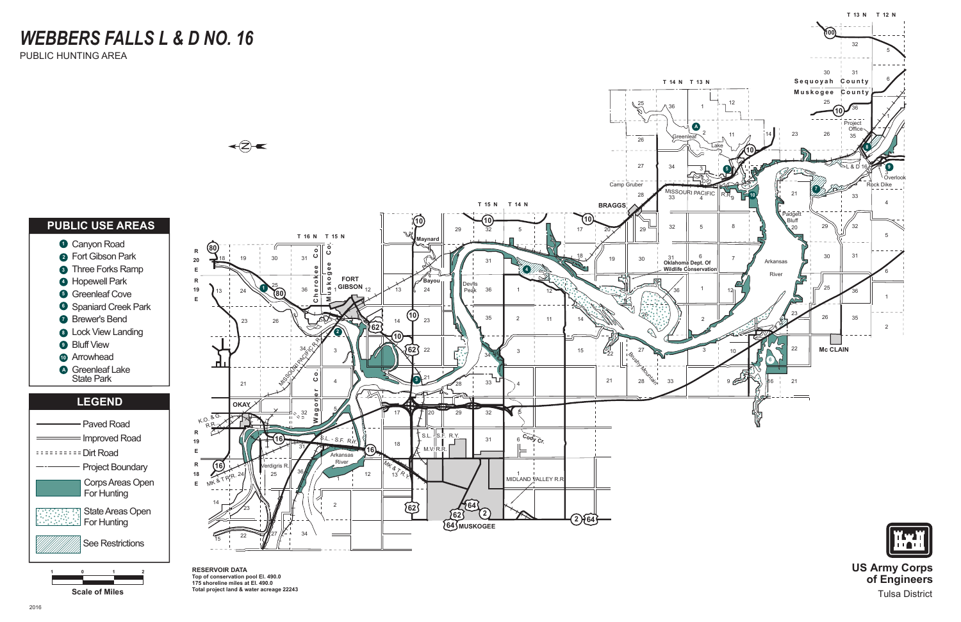

**RESERVOIR DATA Top of conservation pool El. 490.0 175 shoreline miles at El. 490.0 The contract of Miles** Total project land & water acreage 22243

**US Army Corps of Engineers** Tulsa District

# *WEBBERS FALLS L & D NO. 16*

PUBLIC HUNTING AREA

**1 0 1 2**